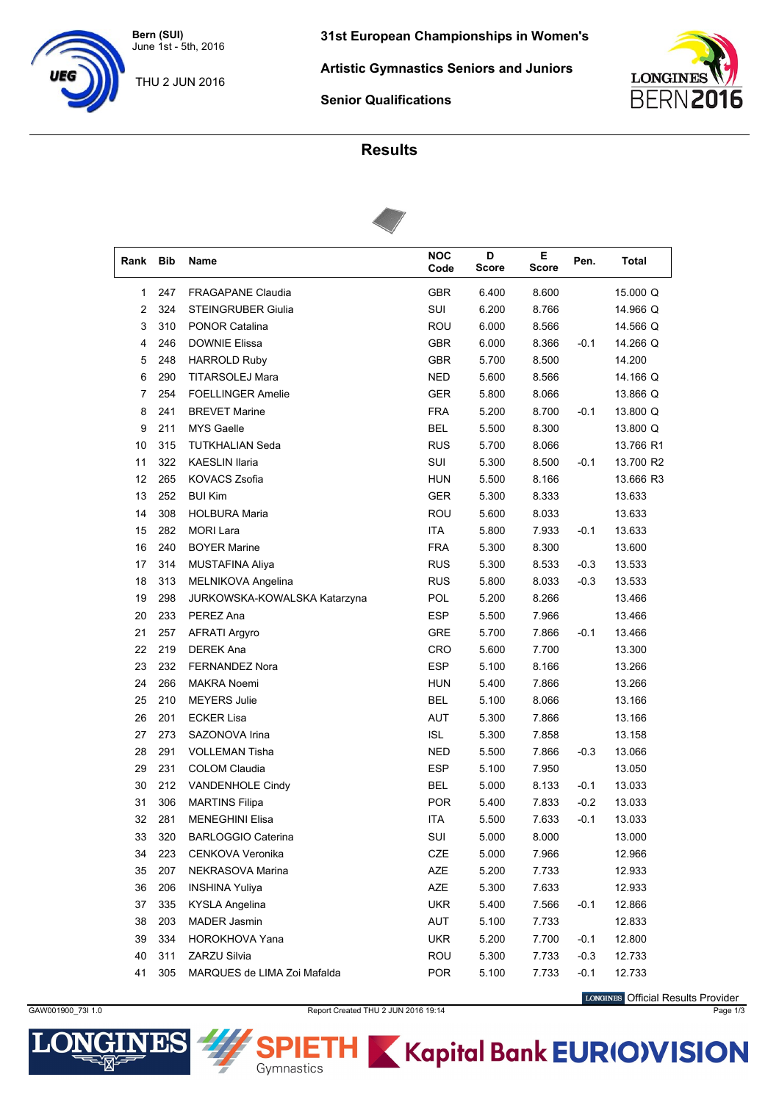**Bern (SUI)** June 1st - 5th, 2016

THU 2 JUN 2016

**Artistic Gymnastics Seniors and Juniors**



**Senior Qualifications**

## **Results**



| Rank   | Bib | Name                         | <b>NOC</b><br>Code | D<br><b>Score</b> | Е<br><b>Score</b> | Pen.   | Total     |
|--------|-----|------------------------------|--------------------|-------------------|-------------------|--------|-----------|
| 1      | 247 | <b>FRAGAPANE Claudia</b>     | <b>GBR</b>         | 6.400             | 8.600             |        | 15.000 Q  |
| 2      | 324 | <b>STEINGRUBER Giulia</b>    | SUI                | 6.200             | 8.766             |        | 14.966 Q  |
| 3      | 310 | PONOR Catalina               | ROU                | 6.000             | 8.566             |        | 14.566 Q  |
| 4      | 246 | <b>DOWNIE Elissa</b>         | <b>GBR</b>         | 6.000             | 8.366             | $-0.1$ | 14.266 Q  |
| 5      | 248 | <b>HARROLD Ruby</b>          | <b>GBR</b>         | 5.700             | 8.500             |        | 14.200    |
| 6      | 290 | <b>TITARSOLEJ Mara</b>       | <b>NED</b>         | 5.600             | 8.566             |        | 14.166 Q  |
| 7      | 254 | <b>FOELLINGER Amelie</b>     | <b>GER</b>         | 5.800             | 8.066             |        | 13.866 Q  |
| 8      | 241 | <b>BREVET Marine</b>         | <b>FRA</b>         | 5.200             | 8.700             | $-0.1$ | 13.800 Q  |
| 9      | 211 | <b>MYS Gaelle</b>            | <b>BEL</b>         | 5.500             | 8.300             |        | 13.800 Q  |
| 10     | 315 | <b>TUTKHALIAN Seda</b>       | <b>RUS</b>         | 5.700             | 8.066             |        | 13.766 R1 |
| 11     | 322 | <b>KAESLIN Ilaria</b>        | SUI                | 5.300             | 8.500             | $-0.1$ | 13.700 R2 |
| 12     | 265 | KOVACS Zsofia                | <b>HUN</b>         | 5.500             | 8.166             |        | 13.666 R3 |
| 13     | 252 | <b>BUI Kim</b>               | <b>GER</b>         | 5.300             | 8.333             |        | 13.633    |
| 14     | 308 | <b>HOLBURA Maria</b>         | ROU                | 5.600             | 8.033             |        | 13.633    |
| 15     | 282 | <b>MORI Lara</b>             | <b>ITA</b>         | 5.800             | 7.933             | $-0.1$ | 13.633    |
| 16     | 240 | <b>BOYER Marine</b>          | <b>FRA</b>         | 5.300             | 8.300             |        | 13.600    |
| 17     | 314 | MUSTAFINA Aliya              | <b>RUS</b>         | 5.300             | 8.533             | $-0.3$ | 13.533    |
| 18     | 313 | MELNIKOVA Angelina           | <b>RUS</b>         | 5.800             | 8.033             | $-0.3$ | 13.533    |
| 19     | 298 | JURKOWSKA-KOWALSKA Katarzyna | POL                | 5.200             | 8.266             |        | 13.466    |
| $20\,$ | 233 | PEREZ Ana                    | <b>ESP</b>         | 5.500             | 7.966             |        | 13.466    |
| 21     | 257 | <b>AFRATI Argyro</b>         | <b>GRE</b>         | 5.700             | 7.866             | $-0.1$ | 13.466    |
| 22     | 219 | <b>DEREK Ana</b>             | CRO                | 5.600             | 7.700             |        | 13.300    |
| 23     | 232 | <b>FERNANDEZ Nora</b>        | <b>ESP</b>         | 5.100             | 8.166             |        | 13.266    |
| 24     | 266 | <b>MAKRA Noemi</b>           | <b>HUN</b>         | 5.400             | 7.866             |        | 13.266    |
| 25     | 210 | <b>MEYERS Julie</b>          | <b>BEL</b>         | 5.100             | 8.066             |        | 13.166    |
| 26     | 201 | <b>ECKER Lisa</b>            | <b>AUT</b>         | 5.300             | 7.866             |        | 13.166    |
| 27     | 273 | SAZONOVA Irina               | <b>ISL</b>         | 5.300             | 7.858             |        | 13.158    |
| 28     | 291 | <b>VOLLEMAN Tisha</b>        | <b>NED</b>         | 5.500             | 7.866             | $-0.3$ | 13.066    |
| 29     | 231 | <b>COLOM Claudia</b>         | <b>ESP</b>         | 5.100             | 7.950             |        | 13.050    |
| 30     | 212 | VANDENHOLE Cindy             | <b>BEL</b>         | 5.000             | 8.133             | $-0.1$ | 13.033    |
| 31     | 306 | <b>MARTINS Filipa</b>        | <b>POR</b>         | 5.400             | 7.833             | $-0.2$ | 13.033    |
| 32     | 281 | <b>MENEGHINI Elisa</b>       | ITA                | 5.500             | 7.633             | $-0.1$ | 13.033    |
| 33     | 320 | <b>BARLOGGIO Caterina</b>    | SUI                | 5.000             | 8.000             |        | 13.000    |
| 34     | 223 | CENKOVA Veronika             | CZE                | 5.000             | 7.966             |        | 12.966    |
| 35     | 207 | NEKRASOVA Marina             | AZE                | 5.200             | 7.733             |        | 12.933    |
| 36     | 206 | <b>INSHINA Yuliya</b>        | AZE                | 5.300             | 7.633             |        | 12.933    |
| 37     | 335 | <b>KYSLA Angelina</b>        | <b>UKR</b>         | 5.400             | 7.566             | $-0.1$ | 12.866    |
| 38     | 203 | <b>MADER Jasmin</b>          | AUT                | 5.100             | 7.733             |        | 12.833    |
| 39     | 334 | HOROKHOVA Yana               | <b>UKR</b>         | 5.200             | 7.700             | $-0.1$ | 12.800    |
| 40     | 311 | ZARZU Silvia                 | ROU                | 5.300             | 7.733             | $-0.3$ | 12.733    |
| 41     | 305 | MARQUES de LIMA Zoi Mafalda  | <b>POR</b>         | 5.100             | 7.733             | $-0.1$ | 12.733    |

LONGINES Official Results Provider



GAW001900\_73I 1.0 **Report Created THU 2 JUN 2016 19:14** Page 1/3

[H

Gymnastics

**K** Kapital Bank EURIOVISION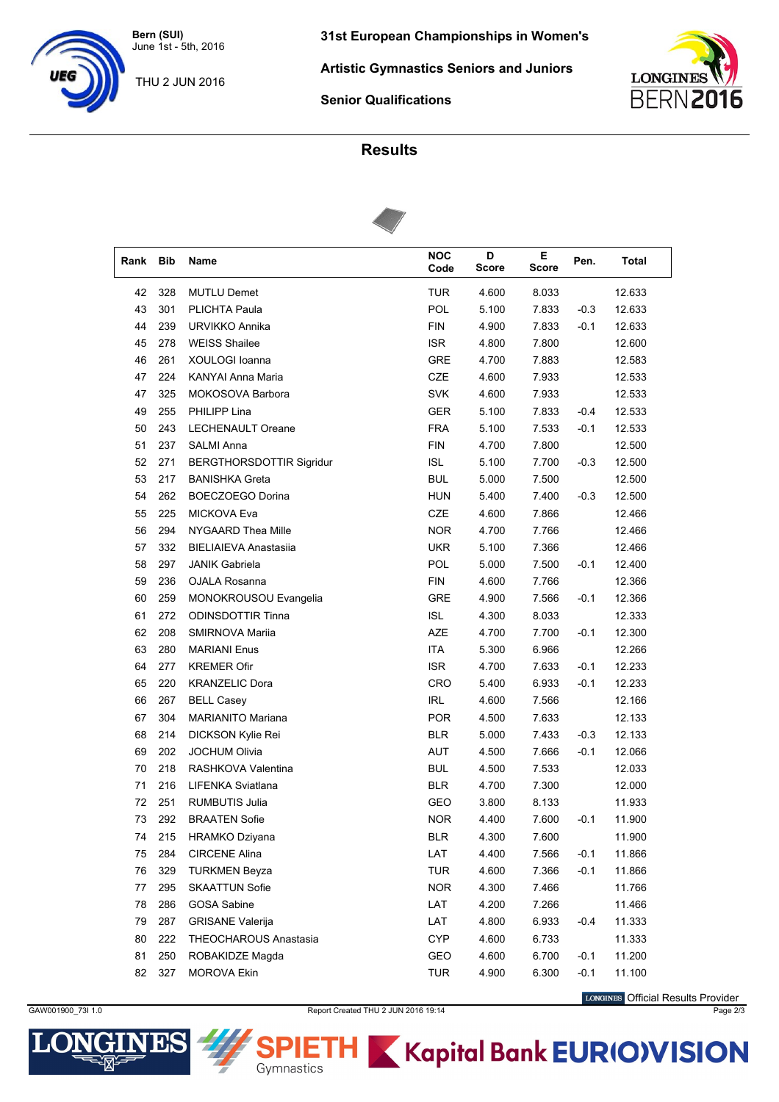**Bern (SUI)** June 1st - 5th, 2016

THU 2 JUN 2016

**31st European Championships in Women's**

**Artistic Gymnastics Seniors and Juniors**

**LONGINES BERN20** 

**Senior Qualifications**

## **Results**



| Rank | <b>Bib</b> | Name                         | <b>NOC</b><br>Code | D<br><b>Score</b> | Е<br><b>Score</b> | Pen.   | <b>Total</b> |  |
|------|------------|------------------------------|--------------------|-------------------|-------------------|--------|--------------|--|
| 42   | 328        | <b>MUTLU Demet</b>           | <b>TUR</b>         | 4.600             | 8.033             |        | 12.633       |  |
| 43   | 301        | <b>PLICHTA Paula</b>         | <b>POL</b>         | 5.100             | 7.833             | $-0.3$ | 12.633       |  |
| 44   | 239        | URVIKKO Annika               | <b>FIN</b>         | 4.900             | 7.833             | $-0.1$ | 12.633       |  |
| 45   | 278        | <b>WEISS Shailee</b>         | <b>ISR</b>         | 4.800             | 7.800             |        | 12.600       |  |
| 46   | 261        | XOULOGI Ioanna               | <b>GRE</b>         | 4.700             | 7.883             |        | 12.583       |  |
| 47   | 224        | KANYAI Anna Maria            | CZE                | 4.600             | 7.933             |        | 12.533       |  |
| 47   | 325        | MOKOSOVA Barbora             | <b>SVK</b>         | 4.600             | 7.933             |        | 12.533       |  |
| 49   | 255        | PHILIPP Lina                 | <b>GER</b>         | 5.100             | 7.833             | $-0.4$ | 12.533       |  |
| 50   | 243        | LECHENAULT Oreane            | <b>FRA</b>         | 5.100             | 7.533             | $-0.1$ | 12.533       |  |
| 51   | 237        | SALMI Anna                   | <b>FIN</b>         | 4.700             | 7.800             |        | 12.500       |  |
| 52   | 271        | BERGTHORSDOTTIR Sigridur     | <b>ISL</b>         | 5.100             | 7.700             | $-0.3$ | 12.500       |  |
| 53   | 217        | <b>BANISHKA Greta</b>        | <b>BUL</b>         | 5.000             | 7.500             |        | 12.500       |  |
| 54   | 262        | BOECZOEGO Dorina             | <b>HUN</b>         | 5.400             | 7.400             | $-0.3$ | 12.500       |  |
| 55   | 225        | <b>MICKOVA Eva</b>           | CZE                | 4.600             | 7.866             |        | 12.466       |  |
| 56   | 294        | NYGAARD Thea Mille           | <b>NOR</b>         | 4.700             | 7.766             |        | 12.466       |  |
| 57   | 332        | <b>BIELIAIEVA Anastasiia</b> | <b>UKR</b>         | 5.100             | 7.366             |        | 12.466       |  |
| 58   | 297        | <b>JANIK Gabriela</b>        | POL                | 5.000             | 7.500             | $-0.1$ | 12.400       |  |
| 59   | 236        | OJALA Rosanna                | <b>FIN</b>         | 4.600             | 7.766             |        | 12.366       |  |
| 60   | 259        | MONOKROUSOU Evangelia        | <b>GRE</b>         | 4.900             | 7.566             | $-0.1$ | 12.366       |  |
| 61   | 272        | <b>ODINSDOTTIR Tinna</b>     | <b>ISL</b>         | 4.300             | 8.033             |        | 12.333       |  |
| 62   | 208        | SMIRNOVA Mariia              | AZE                | 4.700             | 7.700             | $-0.1$ | 12.300       |  |
| 63   | 280        | <b>MARIANI Enus</b>          | <b>ITA</b>         | 5.300             | 6.966             |        | 12.266       |  |
| 64   | 277        | <b>KREMER Ofir</b>           | <b>ISR</b>         | 4.700             | 7.633             | $-0.1$ | 12.233       |  |
| 65   | 220        | <b>KRANZELIC Dora</b>        | <b>CRO</b>         | 5.400             | 6.933             | $-0.1$ | 12.233       |  |
| 66   | 267        | <b>BELL Casey</b>            | <b>IRL</b>         | 4.600             | 7.566             |        | 12.166       |  |
| 67   | 304        | <b>MARIANITO Mariana</b>     | <b>POR</b>         | 4.500             | 7.633             |        | 12.133       |  |
| 68   | 214        | DICKSON Kylie Rei            | <b>BLR</b>         | 5.000             | 7.433             | $-0.3$ | 12.133       |  |
| 69   | 202        | <b>JOCHUM Olivia</b>         | AUT                | 4.500             | 7.666             | $-0.1$ | 12.066       |  |
| 70   | 218        | RASHKOVA Valentina           | <b>BUL</b>         | 4.500             | 7.533             |        | 12.033       |  |
| 71   | 216        | LIFENKA Sviatlana            | <b>BLR</b>         | 4.700             | 7.300             |        | 12.000       |  |
| 72   | 251        | <b>RUMBUTIS Julia</b>        | GEO                | 3.800             | 8.133             |        | 11.933       |  |
| 73   | 292        | <b>BRAATEN Sofie</b>         | <b>NOR</b>         | 4.400             | 7.600             | -0.1   | 11.900       |  |
| 74   | 215        | HRAMKO Dziyana               | <b>BLR</b>         | 4.300             | 7.600             |        | 11.900       |  |
| 75   | 284        | <b>CIRCENE Alina</b>         | LAT                | 4.400             | 7.566             | $-0.1$ | 11.866       |  |
| 76   | 329        | <b>TURKMEN Beyza</b>         | <b>TUR</b>         | 4.600             | 7.366             | $-0.1$ | 11.866       |  |
| 77   | 295        | <b>SKAATTUN Sofie</b>        | <b>NOR</b>         | 4.300             | 7.466             |        | 11.766       |  |
| 78   | 286        | <b>GOSA Sabine</b>           | LAT                | 4.200             | 7.266             |        | 11.466       |  |
| 79   | 287        | <b>GRISANE Valerija</b>      | LAT                | 4.800             | 6.933             | $-0.4$ | 11.333       |  |
| 80   | 222        | THEOCHAROUS Anastasia        | <b>CYP</b>         | 4.600             | 6.733             |        | 11.333       |  |
| 81   | 250        | ROBAKIDZE Magda              | GEO                | 4.600             | 6.700             | $-0.1$ | 11.200       |  |
| 82   | 327        | <b>MOROVA Ekin</b>           | <b>TUR</b>         | 4.900             | 6.300             | $-0.1$ | 11.100       |  |
|      |            |                              |                    |                   |                   |        |              |  |

GAW001900\_73I 1.0 **Report Created THU 2 JUN 2016 19:14** Page 2/3

[H

Gymnastics

LONGINES Official Results Provider